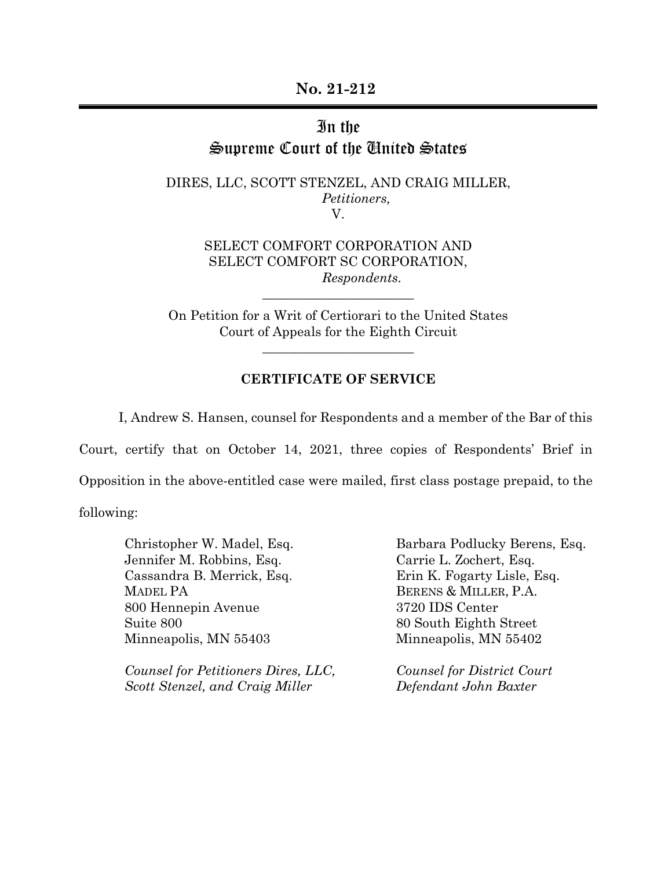## In the Supreme Court of the United States

DIRES, LLC, SCOTT STENZEL, AND CRAIG MILLER, *Petitioners,*  V.

> SELECT COMFORT CORPORATION AND SELECT COMFORT SC CORPORATION, *Respondents.*

On Petition for a Writ of Certiorari to the United States Court of Appeals for the Eighth Circuit

\_\_\_\_\_\_\_\_\_\_\_\_\_\_\_\_\_\_\_\_\_\_\_

\_\_\_\_\_\_\_\_\_\_\_\_\_\_\_\_\_\_\_\_\_\_\_

## **CERTIFICATE OF SERVICE**

I, Andrew S. Hansen, counsel for Respondents and a member of the Bar of this Court, certify that on October 14, 2021, three copies of Respondents' Brief in Opposition in the above-entitled case were mailed, first class postage prepaid, to the

following:

Christopher W. Madel, Esq. Jennifer M. Robbins, Esq. Cassandra B. Merrick, Esq. MADEL PA 800 Hennepin Avenue Suite 800 Minneapolis, MN 55403

*Counsel for Petitioners Dires, LLC, Scott Stenzel, and Craig Miller* 

Barbara Podlucky Berens, Esq. Carrie L. Zochert, Esq. Erin K. Fogarty Lisle, Esq. BERENS & MILLER, P.A. 3720 IDS Center 80 South Eighth Street Minneapolis, MN 55402

*Counsel for District Court Defendant John Baxter*